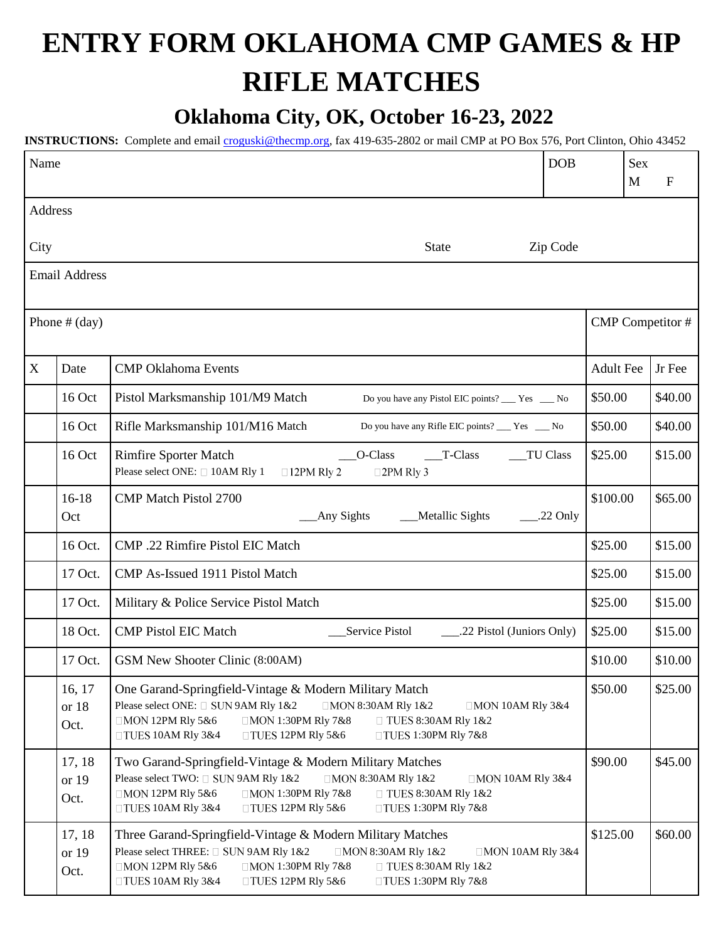## **ENTRY FORM OKLAHOMA CMP GAMES & HP RIFLE MATCHES**

## **Oklahoma City, OK, October 16-23, 2022**

**INSTRUCTIONS:** Complete and email [croguski@thecmp.org,](mailto:croguski@thecmp.org) fax 419-635-2802 or mail CMP at PO Box 576, Port Clinton, Ohio 43452

| Name            |                         | <b>DOB</b>                                                                                                                                                                                                                                                                                                                     |                  | <b>Sex</b><br>M  | $\mathbf{F}$ |
|-----------------|-------------------------|--------------------------------------------------------------------------------------------------------------------------------------------------------------------------------------------------------------------------------------------------------------------------------------------------------------------------------|------------------|------------------|--------------|
| Address         |                         |                                                                                                                                                                                                                                                                                                                                |                  |                  |              |
| City            |                         | <b>State</b><br>Zip Code                                                                                                                                                                                                                                                                                                       |                  |                  |              |
|                 | <b>Email Address</b>    |                                                                                                                                                                                                                                                                                                                                |                  |                  |              |
| Phone $#$ (day) |                         |                                                                                                                                                                                                                                                                                                                                |                  | CMP Competitor # |              |
| X               | Date                    | <b>CMP Oklahoma Events</b>                                                                                                                                                                                                                                                                                                     | <b>Adult Fee</b> |                  | Jr Fee       |
|                 | 16 Oct                  | Pistol Marksmanship 101/M9 Match<br>Do you have any Pistol EIC points? ___ Yes __ No                                                                                                                                                                                                                                           | \$50.00          |                  | \$40.00      |
|                 | 16 Oct                  | Rifle Marksmanship 101/M16 Match<br>Do you have any Rifle EIC points? ___ Yes ___ No                                                                                                                                                                                                                                           | \$50.00          |                  | \$40.00      |
|                 | 16 Oct                  | <b>Rimfire Sporter Match</b><br>O-Class<br>$T$ -Class<br>TU Class<br>Please select ONE: □ 10AM Rly 1<br>$\square$ 2PM Rly 3<br>$\Box$ 12PM Rly 2                                                                                                                                                                               | \$25.00          |                  | \$15.00      |
|                 | 16-18<br>Oct            | <b>CMP Match Pistol 2700</b><br>Any Sights<br>Metallic Sights<br>$\_\_22$ Only                                                                                                                                                                                                                                                 | \$100.00         |                  | \$65.00      |
|                 | 16 Oct.                 | CMP .22 Rimfire Pistol EIC Match                                                                                                                                                                                                                                                                                               | \$25.00          |                  | \$15.00      |
|                 | 17 Oct.                 | CMP As-Issued 1911 Pistol Match                                                                                                                                                                                                                                                                                                | \$25.00          |                  | \$15.00      |
|                 | 17 Oct.                 | Military & Police Service Pistol Match                                                                                                                                                                                                                                                                                         | \$25.00          |                  | \$15.00      |
|                 | 18 Oct.                 | <b>CMP Pistol EIC Match</b><br>Service Pistol<br>.22 Pistol (Juniors Only)                                                                                                                                                                                                                                                     | \$25.00          |                  | \$15.00      |
|                 | 17 Oct.                 | GSM New Shooter Clinic (8:00AM)                                                                                                                                                                                                                                                                                                | \$10.00          |                  | \$10.00      |
|                 | 16, 17<br>or 18<br>Oct. | One Garand-Springfield-Vintage & Modern Military Match<br>Please select ONE: □ SUN 9AM Rly 1&2<br>$\Box$ MON 8:30AM Rly 1&2<br>$\Box$ MON 10AM Rly 3&4<br>□MON 12PM Rly 5&6<br>$\Box$ MON 1:30PM Rly 7&8<br>$\Box$ TUES 8:30AM Rly 1&2<br>$\Box$ TUES 10AM RIy 3&4<br>$\Box$ TUES 12PM Rly 5&6<br>$\Box$ TUES 1:30PM Rly 7&8   | \$50.00          |                  | \$25.00      |
|                 | 17, 18<br>or 19<br>Oct. | Two Garand-Springfield-Vintage & Modern Military Matches<br>Please select TWO: □ SUN 9AM Rly 1&2<br>$\Box$ MON 8:30AM Rly 1&2<br>$\Box$ MON 10AM Rly 3&4<br>$\Box$ MON 12PM Rly 5&6<br>□MON 1:30PM Rly 7&8<br>$\Box$ TUES 8:30AM Rly 1&2<br>$\Box$ TUES 10AM RIy 3&4<br>$\Box$ TUES 12PM Rly 5&6<br>$\Box$ TUES 1:30PM Rly 7&8 | \$90.00          |                  | \$45.00      |
|                 | 17, 18<br>or 19<br>Oct. | Three Garand-Springfield-Vintage & Modern Military Matches<br>Please select THREE: □ SUN 9AM Rly 1&2<br>□MON 8:30AM Rly 1&2<br>$\Box$ MON 10AM Rly 3&4<br>$\Box$ MON 12PM Rly 5&6<br>□MON 1:30PM Rly 7&8<br>$\Box$ TUES 8:30AM Rly 1&2<br>$\Box$ TUES 10AM RIy 3&4<br>$\Box$ TUES 12PM Rly 5&6<br>$\Box$ TUES 1:30PM Rly 7&8   | \$125.00         |                  | \$60.00      |